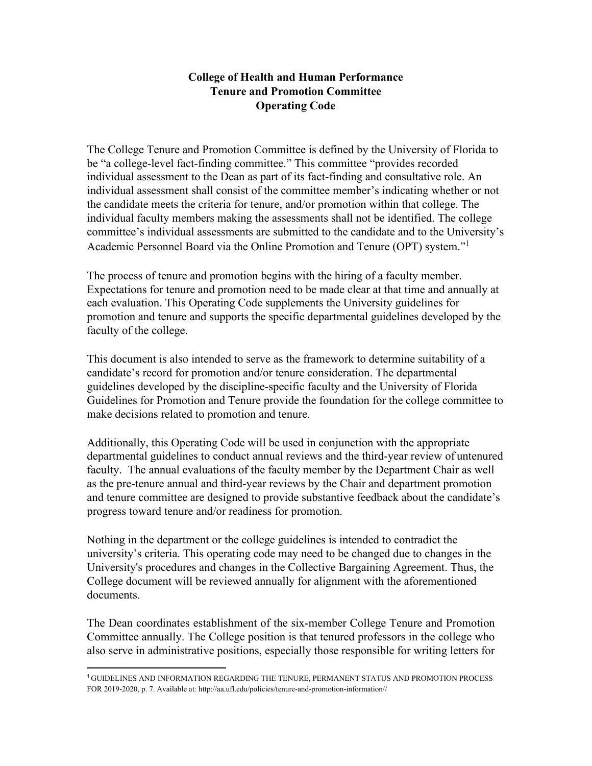# **College of Health and Human Performance Tenure and Promotion Committee Operating Code**

The College Tenure and Promotion Committee is defined by the University of Florida to be "a college-level fact-finding committee." This committee "provides recorded individual assessment to the Dean as part of its fact-finding and consultative role. An individual assessment shall consist of the committee member's indicating whether or not the candidate meets the criteria for tenure, and/or promotion within that college. The individual faculty members making the assessments shall not be identified. The college committee's individual assessments are submitted to the candidate and to the University's Academic Personnel Board via the Online Promotion and Tenure (OPT) system.["1](#page-0-0)

The process of tenure and promotion begins with the hiring of a faculty member. Expectations for tenure and promotion need to be made clear at that time and annually at each evaluation. This Operating Code supplements the University guidelines for promotion and tenure and supports the specific departmental guidelines developed by the faculty of the college.

This document is also intended to serve as the framework to determine suitability of a candidate's record for promotion and/or tenure consideration. The departmental guidelines developed by the discipline-specific faculty and the University of Florida Guidelines for Promotion and Tenure provide the foundation for the college committee to make decisions related to promotion and tenure.

Additionally, this Operating Code will be used in conjunction with the appropriate departmental guidelines to conduct annual reviews and the third-year review of untenured faculty. The annual evaluations of the faculty member by the Department Chair as well as the pre-tenure annual and third-year reviews by the Chair and department promotion and tenure committee are designed to provide substantive feedback about the candidate's progress toward tenure and/or readiness for promotion.

Nothing in the department or the college guidelines is intended to contradict the university's criteria. This operating code may need to be changed due to changes in the University's procedures and changes in the Collective Bargaining Agreement. Thus, the College document will be reviewed annually for alignment with the aforementioned documents.

The Dean coordinates establishment of the six-member College Tenure and Promotion Committee annually. The College position is that tenured professors in the college who also serve in administrative positions, especially those responsible for writing letters for

<span id="page-0-0"></span><sup>1</sup>GUIDELINES AND INFORMATION REGARDING THE TENURE, PERMANENT STATUS AND PROMOTION PROCESS FOR 2019-2020, p. 7. Available at[: http://aa.ufl.edu/policies/tenure-and-promotion-information//](http://aa.ufl.edu/policies/tenure-and-promotion-information/)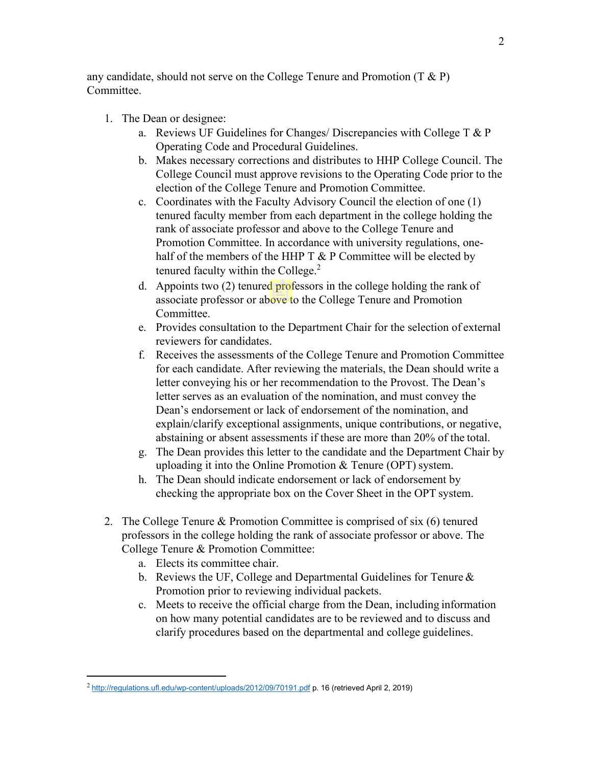any candidate, should not serve on the College Tenure and Promotion (T  $\&$  P) Committee.

- 1. The Dean or designee:
	- a. Reviews UF Guidelines for Changes/ Discrepancies with College T & P Operating Code and Procedural Guidelines.
	- b. Makes necessary corrections and distributes to HHP College Council. The College Council must approve revisions to the Operating Code prior to the election of the College Tenure and Promotion Committee.
	- c. Coordinates with the Faculty Advisory Council the election of one (1) tenured faculty member from each department in the college holding the rank of associate professor and above to the College Tenure and Promotion Committee. In accordance with university regulations, onehalf of the members of the HHP  $T \& P$  Committee will be elected by tenured faculty within the College.<sup>2</sup>
	- d. Appoints two (2) tenured professors in the college holding the rank of associate professor or above to the College Tenure and Promotion Committee.
	- e. Provides consultation to the Department Chair for the selection of external reviewers for candidates.
	- f. Receives the assessments of the College Tenure and Promotion Committee for each candidate. After reviewing the materials, the Dean should write a letter conveying his or her recommendation to the Provost. The Dean's letter serves as an evaluation of the nomination, and must convey the Dean's endorsement or lack of endorsement of the nomination, and explain/clarify exceptional assignments, unique contributions, or negative, abstaining or absent assessments if these are more than 20% of the total.
	- g. The Dean provides this letter to the candidate and the Department Chair by uploading it into the Online Promotion & Tenure (OPT) system.
	- h. The Dean should indicate endorsement or lack of endorsement by checking the appropriate box on the Cover Sheet in the OPT system.
- 2. The College Tenure & Promotion Committee is comprised of six (6) tenured professors in the college holding the rank of associate professor or above. The College Tenure & Promotion Committee:
	- a. Elects its committee chair.
	- b. Reviews the UF, College and Departmental Guidelines for Tenure & Promotion prior to reviewing individual packets.
	- c. Meets to receive the official charge from the Dean, including information on how many potential candidates are to be reviewed and to discuss and clarify procedures based on the departmental and college guidelines.

<span id="page-1-0"></span> $^2$  <http://regulations.ufl.edu/wp-content/uploads/2012/09/70191.pdf> p. 16 (retrieved April 2, 2019)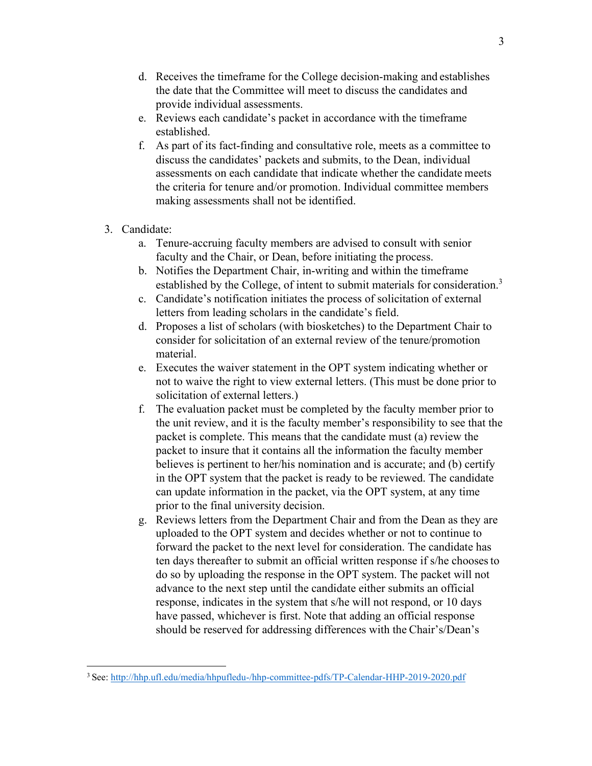- d. Receives the timeframe for the College decision-making and establishes the date that the Committee will meet to discuss the candidates and provide individual assessments.
- e. Reviews each candidate's packet in accordance with the timeframe established.
- f. As part of its fact-finding and consultative role, meets as a committee to discuss the candidates' packets and submits, to the Dean, individual assessments on each candidate that indicate whether the candidate meets the criteria for tenure and/or promotion. Individual committee members making assessments shall not be identified.
- 3. Candidate:
	- a. Tenure-accruing faculty members are advised to consult with senior faculty and the Chair, or Dean, before initiating the process.
	- b. Notifies the Department Chair, in-writing and within the timeframe established by the College, of intent to submit materials for consideration.<sup>3</sup>
	- c. Candidate's notification initiates the process of solicitation of external letters from leading scholars in the candidate's field.
	- d. Proposes a list of scholars (with biosketches) to the Department Chair to consider for solicitation of an external review of the tenure/promotion material.
	- e. Executes the waiver statement in the OPT system indicating whether or not to waive the right to view external letters. (This must be done prior to solicitation of external letters.)
	- f. The evaluation packet must be completed by the faculty member prior to the unit review, and it is the faculty member's responsibility to see that the packet is complete. This means that the candidate must (a) review the packet to insure that it contains all the information the faculty member believes is pertinent to her/his nomination and is accurate; and (b) certify in the OPT system that the packet is ready to be reviewed. The candidate can update information in the packet, via the OPT system, at any time prior to the final university decision.
	- g. Reviews letters from the Department Chair and from the Dean as they are uploaded to the OPT system and decides whether or not to continue to forward the packet to the next level for consideration. The candidate has ten days thereafter to submit an official written response if s/he choosesto do so by uploading the response in the OPT system. The packet will not advance to the next step until the candidate either submits an official response, indicates in the system that s/he will not respond, or 10 days have passed, whichever is first. Note that adding an official response should be reserved for addressing differences with the Chair's/Dean's

<span id="page-2-0"></span><sup>3</sup> See[: http://hhp.ufl.edu/media/hhpufledu-/hhp-committee-pdfs/TP-Calendar-HHP-2019-2020.pdf](http://hhp.ufl.edu/media/hhpufledu-/hhp-committee-pdfs/TP-Calendar-HHP-2019-2020.pdf)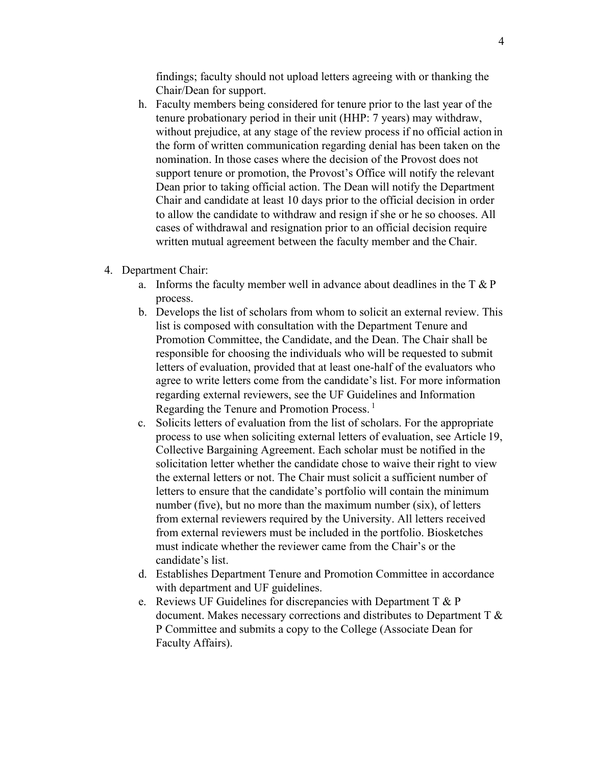findings; faculty should not upload letters agreeing with or thanking the Chair/Dean for support.

- h. Faculty members being considered for tenure prior to the last year of the tenure probationary period in their unit (HHP: 7 years) may withdraw, without prejudice, at any stage of the review process if no official action in the form of written communication regarding denial has been taken on the nomination. In those cases where the decision of the Provost does not support tenure or promotion, the Provost's Office will notify the relevant Dean prior to taking official action. The Dean will notify the Department Chair and candidate at least 10 days prior to the official decision in order to allow the candidate to withdraw and resign if she or he so chooses. All cases of withdrawal and resignation prior to an official decision require written mutual agreement between the faculty member and the Chair.
- 4. Department Chair:
	- a. Informs the faculty member well in advance about deadlines in the T & P process.
	- b. Develops the list of scholars from whom to solicit an external review. This list is composed with consultation with the Department Tenure and Promotion Committee, the Candidate, and the Dean. The Chair shall be responsible for choosing the individuals who will be requested to submit letters of evaluation, provided that at least one-half of the evaluators who agree to write letters come from the candidate's list. For more information regarding external reviewers, see the UF Guidelines and Information Regarding the Tenure and Promotion Process.<sup>1</sup>
	- c. Solicits letters of evaluation from the list of scholars. For the appropriate process to use when soliciting external letters of evaluation, see Article 19, Collective Bargaining Agreement. Each scholar must be notified in the solicitation letter whether the candidate chose to waive their right to view the external letters or not. The Chair must solicit a sufficient number of letters to ensure that the candidate's portfolio will contain the minimum number (five), but no more than the maximum number (six), of letters from external reviewers required by the University. All letters received from external reviewers must be included in the portfolio. Biosketches must indicate whether the reviewer came from the Chair's or the candidate's list.
	- d. Establishes Department Tenure and Promotion Committee in accordance with department and UF guidelines.
	- e. Reviews UF Guidelines for discrepancies with Department T & P document. Makes necessary corrections and distributes to Department T & P Committee and submits a copy to the College (Associate Dean for Faculty Affairs).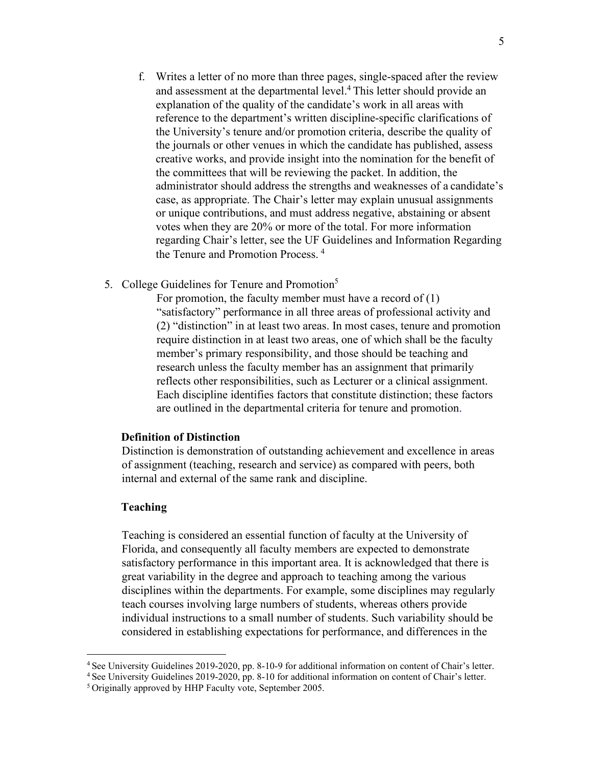- f. Writes a letter of no more than three pages, single-spaced after the review and assessment at the departmental level.<sup>4</sup> This letter should provide an explanation of the quality of the candidate's work in all areas with reference to the department's written discipline-specific clarifications of the University's tenure and/or promotion criteria, describe the quality of the journals or other venues in which the candidate has published, assess creative works, and provide insight into the nomination for the benefit of the committees that will be reviewing the packet. In addition, the administrator should address the strengths and weaknesses of a candidate's case, as appropriate. The Chair's letter may explain unusual assignments or unique contributions, and must address negative, abstaining or absent votes when they are 20% or more of the total. For more information regarding Chair's letter, see the UF Guidelines and Information Regarding the Tenure and Promotion Process. <sup>4</sup>
- 5. College Guidelines for Tenure and Promotion<sup>5</sup>

For promotion, the faculty member must have a record of  $(1)$ "satisfactory" performance in all three areas of professional activity and (2) "distinction" in at least two areas. In most cases, tenure and promotion require distinction in at least two areas, one of which shall be the faculty member's primary responsibility, and those should be teaching and research unless the faculty member has an assignment that primarily reflects other responsibilities, such as Lecturer or a clinical assignment. Each discipline identifies factors that constitute distinction; these factors are outlined in the departmental criteria for tenure and promotion.

#### **Definition of Distinction**

Distinction is demonstration of outstanding achievement and excellence in areas of assignment (teaching, research and service) as compared with peers, both internal and external of the same rank and discipline.

## **Teaching**

Teaching is considered an essential function of faculty at the University of Florida, and consequently all faculty members are expected to demonstrate satisfactory performance in this important area. It is acknowledged that there is great variability in the degree and approach to teaching among the various disciplines within the departments. For example, some disciplines may regularly teach courses involving large numbers of students, whereas others provide individual instructions to a small number of students. Such variability should be considered in establishing expectations for performance, and differences in the

<sup>4</sup> See University Guidelines 2019-2020, pp. 8-10-9 for additional information on content of Chair's letter.

<sup>4</sup> See University Guidelines 2019-2020, pp. 8-10 for additional information on content of Chair's letter.

<sup>5</sup> Originally approved by HHP Faculty vote, September 2005.